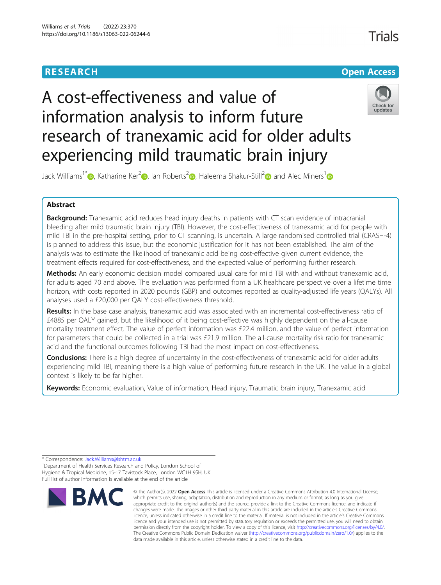# **RESEARCH CHE Open Access**

# A cost-effectiveness and value of information analysis to inform future research of tranexamic acid for older adults experiencing mild traumatic brain injury



Jack Williams<sup>[1](https://orcid.org/0000-0003-1850-1463)\*</sup> **D**[,](https://orcid.org/0000-0002-1514-5005) Katharine Ker<sup>[2](https://orcid.org/0000-0003-1596-6054)</sup> **D**, Ian Roberts<sup>2</sup> **D**, Haleema Shakur-Still<sup>2</sup> **D** and Alec Miners<sup>1</sup> **D** 

# Abstract

**Background:** Tranexamic acid reduces head injury deaths in patients with CT scan evidence of intracranial bleeding after mild traumatic brain injury (TBI). However, the cost-effectiveness of tranexamic acid for people with mild TBI in the pre-hospital setting, prior to CT scanning, is uncertain. A large randomised controlled trial (CRASH-4) is planned to address this issue, but the economic justification for it has not been established. The aim of the analysis was to estimate the likelihood of tranexamic acid being cost-effective given current evidence, the treatment effects required for cost-effectiveness, and the expected value of performing further research.

Methods: An early economic decision model compared usual care for mild TBI with and without tranexamic acid, for adults aged 70 and above. The evaluation was performed from a UK healthcare perspective over a lifetime time horizon, with costs reported in 2020 pounds (GBP) and outcomes reported as quality-adjusted life years (QALYs). All analyses used a £20,000 per QALY cost-effectiveness threshold.

Results: In the base case analysis, tranexamic acid was associated with an incremental cost-effectiveness ratio of £4885 per QALY gained, but the likelihood of it being cost-effective was highly dependent on the all-cause mortality treatment effect. The value of perfect information was £22.4 million, and the value of perfect information for parameters that could be collected in a trial was £21.9 million. The all-cause mortality risk ratio for tranexamic acid and the functional outcomes following TBI had the most impact on cost-effectiveness.

**Conclusions:** There is a high degree of uncertainty in the cost-effectiveness of tranexamic acid for older adults experiencing mild TBI, meaning there is a high value of performing future research in the UK. The value in a global context is likely to be far higher.

Keywords: Economic evaluation, Value of information, Head injury, Traumatic brain injury, Tranexamic acid

\* Correspondence: [Jack.Williams@lshtm.ac.uk](mailto:Jack.Williams@lshtm.ac.uk) <sup>1</sup>

<sup>1</sup> Department of Health Services Research and Policy, London School of Hygiene & Tropical Medicine, 15-17 Tavistock Place, London WC1H 9SH, UK Full list of author information is available at the end of the article



<sup>©</sup> The Author(s), 2022 **Open Access** This article is licensed under a Creative Commons Attribution 4.0 International License, which permits use, sharing, adaptation, distribution and reproduction in any medium or format, as long as you give appropriate credit to the original author(s) and the source, provide a link to the Creative Commons licence, and indicate if changes were made. The images or other third party material in this article are included in the article's Creative Commons licence, unless indicated otherwise in a credit line to the material. If material is not included in the article's Creative Commons licence and your intended use is not permitted by statutory regulation or exceeds the permitted use, you will need to obtain permission directly from the copyright holder. To view a copy of this licence, visit [http://creativecommons.org/licenses/by/4.0/.](http://creativecommons.org/licenses/by/4.0/) The Creative Commons Public Domain Dedication waiver [\(http://creativecommons.org/publicdomain/zero/1.0/](http://creativecommons.org/publicdomain/zero/1.0/)) applies to the data made available in this article, unless otherwise stated in a credit line to the data.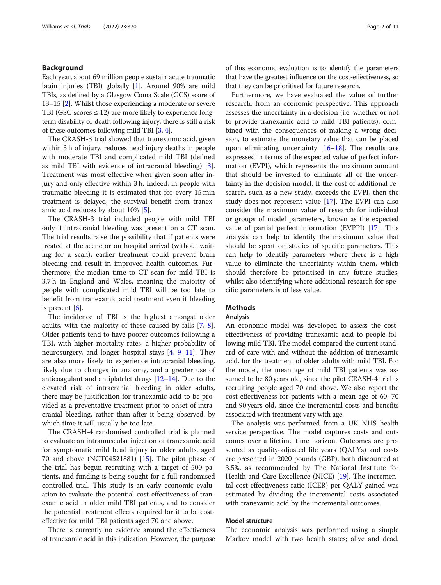# Background

Each year, about 69 million people sustain acute traumatic brain injuries (TBI) globally [\[1](#page-9-0)]. Around 90% are mild TBIs, as defined by a Glasgow Coma Scale (GCS) score of 13–15 [[2](#page-9-0)]. Whilst those experiencing a moderate or severe TBI (GSC scores  $\leq$  12) are more likely to experience longterm disability or death following injury, there is still a risk of these outcomes following mild TBI [\[3](#page-9-0), [4\]](#page-9-0).

The CRASH-3 trial showed that tranexamic acid, given within 3 h of injury, reduces head injury deaths in people with moderate TBI and complicated mild TBI (defined as mild TBI with evidence of intracranial bleeding) [\[3](#page-9-0)]. Treatment was most effective when given soon after injury and only effective within 3 h. Indeed, in people with traumatic bleeding it is estimated that for every 15 min treatment is delayed, the survival benefit from tranexamic acid reduces by about 10% [\[5\]](#page-9-0).

The CRASH-3 trial included people with mild TBI only if intracranial bleeding was present on a CT scan. The trial results raise the possibility that if patients were treated at the scene or on hospital arrival (without waiting for a scan), earlier treatment could prevent brain bleeding and result in improved health outcomes. Furthermore, the median time to CT scan for mild TBI is 3.7 h in England and Wales, meaning the majority of people with complicated mild TBI will be too late to benefit from tranexamic acid treatment even if bleeding is present [\[6](#page-9-0)].

The incidence of TBI is the highest amongst older adults, with the majority of these caused by falls [\[7](#page-9-0), [8](#page-9-0)]. Older patients tend to have poorer outcomes following a TBI, with higher mortality rates, a higher probability of neurosurgery, and longer hospital stays  $[4, 9-11]$  $[4, 9-11]$  $[4, 9-11]$  $[4, 9-11]$  $[4, 9-11]$  $[4, 9-11]$ . They are also more likely to experience intracranial bleeding, likely due to changes in anatomy, and a greater use of anticoagulant and antiplatelet drugs [[12](#page-9-0)–[14](#page-9-0)]. Due to the elevated risk of intracranial bleeding in older adults, there may be justification for tranexamic acid to be provided as a preventative treatment prior to onset of intracranial bleeding, rather than after it being observed, by which time it will usually be too late.

The CRASH-4 randomised controlled trial is planned to evaluate an intramuscular injection of tranexamic acid for symptomatic mild head injury in older adults, aged 70 and above (NCT04521881) [[15\]](#page-9-0). The pilot phase of the trial has begun recruiting with a target of 500 patients, and funding is being sought for a full randomised controlled trial. This study is an early economic evaluation to evaluate the potential cost-effectiveness of tranexamic acid in older mild TBI patients, and to consider the potential treatment effects required for it to be costeffective for mild TBI patients aged 70 and above.

There is currently no evidence around the effectiveness of tranexamic acid in this indication. However, the purpose

of this economic evaluation is to identify the parameters that have the greatest influence on the cost-effectiveness, so that they can be prioritised for future research.

Furthermore, we have evaluated the value of further research, from an economic perspective. This approach assesses the uncertainty in a decision (i.e. whether or not to provide tranexamic acid to mild TBI patients), combined with the consequences of making a wrong decision, to estimate the monetary value that can be placed upon eliminating uncertainty  $[16–18]$  $[16–18]$  $[16–18]$  $[16–18]$  $[16–18]$ . The results are expressed in terms of the expected value of perfect information (EVPI), which represents the maximum amount that should be invested to eliminate all of the uncertainty in the decision model. If the cost of additional research, such as a new study, exceeds the EVPI, then the study does not represent value [[17](#page-9-0)]. The EVPI can also consider the maximum value of research for individual or groups of model parameters, known as the expected value of partial perfect information (EVPPI) [[17](#page-9-0)]. This analysis can help to identify the maximum value that should be spent on studies of specific parameters. This can help to identify parameters where there is a high value to eliminate the uncertainty within them, which should therefore be prioritised in any future studies, whilst also identifying where additional research for specific parameters is of less value.

# Methods

# Analysis

An economic model was developed to assess the costeffectiveness of providing tranexamic acid to people following mild TBI. The model compared the current standard of care with and without the addition of tranexamic acid, for the treatment of older adults with mild TBI. For the model, the mean age of mild TBI patients was assumed to be 80 years old, since the pilot CRASH-4 trial is recruiting people aged 70 and above. We also report the cost-effectiveness for patients with a mean age of 60, 70 and 90 years old, since the incremental costs and benefits associated with treatment vary with age.

The analysis was performed from a UK NHS health service perspective. The model captures costs and outcomes over a lifetime time horizon. Outcomes are presented as quality-adjusted life years (QALYs) and costs are presented in 2020 pounds (GBP), both discounted at 3.5%, as recommended by The National Institute for Health and Care Excellence (NICE) [\[19](#page-9-0)]. The incremental cost-effectiveness ratio (ICER) per QALY gained was estimated by dividing the incremental costs associated with tranexamic acid by the incremental outcomes.

# Model structure

The economic analysis was performed using a simple Markov model with two health states; alive and dead.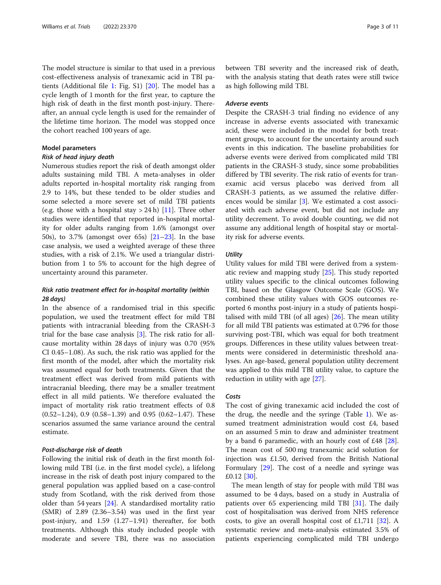The model structure is similar to that used in a previous cost-effectiveness analysis of tranexamic acid in TBI patients (Additional file [1:](#page-8-0) Fig. S1) [[20\]](#page-9-0). The model has a cycle length of 1 month for the first year, to capture the high risk of death in the first month post-injury. Thereafter, an annual cycle length is used for the remainder of the lifetime time horizon. The model was stopped once the cohort reached 100 years of age.

# Model parameters

# Risk of head injury death

Numerous studies report the risk of death amongst older adults sustaining mild TBI. A meta-analyses in older adults reported in-hospital mortality risk ranging from 2.9 to 14%, but these tended to be older studies and some selected a more severe set of mild TBI patients (e.g. those with a hospital stay  $> 24$  h) [[11\]](#page-9-0). Three other studies were identified that reported in-hospital mortality for older adults ranging from 1.6% (amongst over 50s), to 3.7% (amongst over 65s) [\[21](#page-9-0)–[23\]](#page-9-0). In the base case analysis, we used a weighted average of these three studies, with a risk of 2.1%. We used a triangular distribution from 1 to 5% to account for the high degree of uncertainty around this parameter.

# Risk ratio treatment effect for in-hospital mortality (within 28 days)

In the absence of a randomised trial in this specific population, we used the treatment effect for mild TBI patients with intracranial bleeding from the CRASH-3 trial for the base case analysis [[3\]](#page-9-0). The risk ratio for allcause mortality within 28 days of injury was 0.70 (95% CI 0.45–1.08). As such, the risk ratio was applied for the first month of the model, after which the mortality risk was assumed equal for both treatments. Given that the treatment effect was derived from mild patients with intracranial bleeding, there may be a smaller treatment effect in all mild patients. We therefore evaluated the impact of mortality risk ratio treatment effects of 0.8  $(0.52-1.24)$ , 0.9  $(0.58-1.39)$  and 0.95  $(0.62-1.47)$ . These scenarios assumed the same variance around the central estimate.

# Post-discharge risk of death

Following the initial risk of death in the first month following mild TBI (i.e. in the first model cycle), a lifelong increase in the risk of death post injury compared to the general population was applied based on a case-control study from Scotland, with the risk derived from those older than 54 years [\[24](#page-9-0)]. A standardised mortality ratio (SMR) of 2.89 (2.36–3.54) was used in the first year post-injury, and 1.59 (1.27–1.91) thereafter, for both treatments. Although this study included people with moderate and severe TBI, there was no association

between TBI severity and the increased risk of death, with the analysis stating that death rates were still twice as high following mild TBI.

# Adverse events

Despite the CRASH-3 trial finding no evidence of any increase in adverse events associated with tranexamic acid, these were included in the model for both treatment groups, to account for the uncertainty around such events in this indication. The baseline probabilities for adverse events were derived from complicated mild TBI patients in the CRASH-3 study, since some probabilities differed by TBI severity. The risk ratio of events for tranexamic acid versus placebo was derived from all CRASH-3 patients, as we assumed the relative differences would be similar [[3](#page-9-0)]. We estimated a cost associated with each adverse event, but did not include any utility decrement. To avoid double counting, we did not assume any additional length of hospital stay or mortality risk for adverse events.

# **Utility**

Utility values for mild TBI were derived from a systematic review and mapping study [\[25](#page-9-0)]. This study reported utility values specific to the clinical outcomes following TBI, based on the Glasgow Outcome Scale (GOS). We combined these utility values with GOS outcomes reported 6 months post-injury in a study of patients hospitalised with mild TBI (of all ages)  $[26]$  $[26]$ . The mean utility for all mild TBI patients was estimated at 0.796 for those surviving post-TBI, which was equal for both treatment groups. Differences in these utility values between treatments were considered in deterministic threshold analyses. An age-based, general population utility decrement was applied to this mild TBI utility value, to capture the reduction in utility with age [[27\]](#page-9-0).

#### Costs

The cost of giving tranexamic acid included the cost of the drug, the needle and the syringe (Table [1\)](#page-3-0). We assumed treatment administration would cost £4, based on an assumed 5 min to draw and administer treatment by a band 6 paramedic, with an hourly cost of £48 [\[28](#page-9-0)]. The mean cost of 500 mg tranexamic acid solution for injection was £1.50, derived from the British National Formulary [\[29\]](#page-9-0). The cost of a needle and syringe was £0.12 [[30](#page-10-0)].

The mean length of stay for people with mild TBI was assumed to be 4 days, based on a study in Australia of patients over 65 experiencing mild TBI [\[31](#page-10-0)]. The daily cost of hospitalisation was derived from NHS reference costs, to give an overall hospital cost of £1,711 [\[32](#page-10-0)]. A systematic review and meta-analysis estimated 3.5% of patients experiencing complicated mild TBI undergo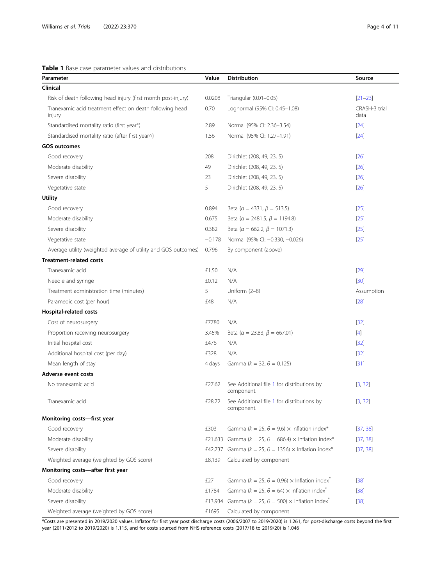<span id="page-3-0"></span>Table 1 Base case parameter values and distributions

| Parameter                                                          | Value    | <b>Distribution</b>                                                        | Source                |
|--------------------------------------------------------------------|----------|----------------------------------------------------------------------------|-----------------------|
| Clinical                                                           |          |                                                                            |                       |
| Risk of death following head injury (first month post-injury)      | 0.0208   | Triangular (0.01-0.05)                                                     | $[21 - 23]$           |
| Tranexamic acid treatment effect on death following head<br>injury | 0.70     | Lognormal (95% Cl: 0.45-1.08)                                              | CRASH-3 trial<br>data |
| Standardised mortality ratio (first year*)                         | 2.89     | Normal (95% Cl: 2.36-3.54)                                                 | $[24]$                |
| Standardised mortality ratio (after first year^)                   | 1.56     | Normal (95% Cl: 1.27-1.91)                                                 | $[24]$                |
| <b>GOS outcomes</b>                                                |          |                                                                            |                       |
| Good recovery                                                      | 208      | Dirichlet (208, 49, 23, 5)                                                 | $[26]$                |
| Moderate disability                                                | 49       | Dirichlet (208, 49, 23, 5)                                                 | $[26]$                |
| Severe disability                                                  | 23       | Dirichlet (208, 49, 23, 5)                                                 | $[26]$                |
| Vegetative state                                                   | 5        | Dirichlet (208, 49, 23, 5)                                                 | $[26]$                |
| <b>Utility</b>                                                     |          |                                                                            |                       |
| Good recovery                                                      | 0.894    | Beta ( $\alpha$ = 4331, $\beta$ = 513.5)                                   | $[25]$                |
| Moderate disability                                                | 0.675    | Beta ( $\alpha$ = 2481.5, $\beta$ = 1194.8)                                | $[25]$                |
| Severe disability                                                  | 0.382    | Beta ( $\alpha = 662.2$ , $\beta = 1071.3$ )                               | $[25]$                |
| Vegetative state                                                   | $-0.178$ | Normal (95% Cl: -0.330, -0.026)                                            | $[25]$                |
| Average utility (weighted average of utility and GOS outcomes)     | 0.796    | By component (above)                                                       |                       |
| <b>Treatment-related costs</b>                                     |          |                                                                            |                       |
| Tranexamic acid                                                    | £1.50    | N/A                                                                        | $[29]$                |
| Needle and syringe                                                 | £0.12    | N/A                                                                        | $[30]$                |
| Treatment administration time (minutes)                            | 5        | Uniform (2-8)                                                              | Assumption            |
| Paramedic cost (per hour)                                          | £48      | N/A                                                                        | $[28]$                |
| Hospital-related costs                                             |          |                                                                            |                       |
| Cost of neurosurgery                                               | £7780    | N/A                                                                        | $[32]$                |
| Proportion receiving neurosurgery                                  | 3.45%    | Beta ( $\alpha = 23.83$ , $\beta = 667.01$ )                               | $[4]$                 |
| Initial hospital cost                                              | £476     | N/A                                                                        | $[32]$                |
| Additional hospital cost (per day)                                 | £328     | N/A                                                                        | $[32]$                |
| Mean length of stay                                                | 4 days   | Gamma ( $k = 32$ , $\theta = 0.125$ )                                      | $[31]$                |
| Adverse event costs                                                |          |                                                                            |                       |
| No tranexamic acid                                                 | £27.62   | See Additional file 1 for distributions by<br>component.                   | [3, 32]               |
| Tranexamic acid                                                    | £28.72   | See Additional file 1 for distributions by<br>component.                   | [3, 32]               |
| Monitoring costs-first year                                        |          |                                                                            |                       |
| Good recovery                                                      | £303     | Gamma ( $k = 25$ , $\theta = 9.6$ ) $\times$ Inflation index*              | [37, 38]              |
| Moderate disability                                                | £21,633  | Gamma ( $k = 25$ , $\theta = 686.4$ ) $\times$ Inflation index*            | [37, 38]              |
| Severe disability                                                  | £42,737  | Gamma ( $k = 25$ , $\theta = 1356$ ) $\times$ Inflation index*             | [37, 38]              |
| Weighted average (weighted by GOS score)                           | £8,139   | Calculated by component                                                    |                       |
| Monitoring costs-after first year                                  |          |                                                                            |                       |
| Good recovery                                                      | £27      | Gamma ( $k = 25$ , $\theta = 0.96$ ) $\times$ Inflation index <sup>*</sup> | $[38]$                |
| Moderate disability                                                | £1784    | Gamma ( $k = 25$ , $\theta = 64$ ) $\times$ Inflation index <sup>*</sup>   | $[38]$                |
| Severe disability                                                  | £13,934  | Gamma ( $k = 25$ , $\theta = 500$ ) $\times$ Inflation index <sup>*</sup>  | $[38]$                |
| Weighted average (weighted by GOS score)                           | £1695    | Calculated by component                                                    |                       |

\*Costs are presented in 2019/2020 values. Inflator for first year post discharge costs (2006/2007 to 2019/2020) is 1.261, for post-discharge costs beyond the first year (2011/2012 to 2019/2020) is 1.115, and for costs sourced from NHS reference costs (2017/18 to 2019/20) is 1.046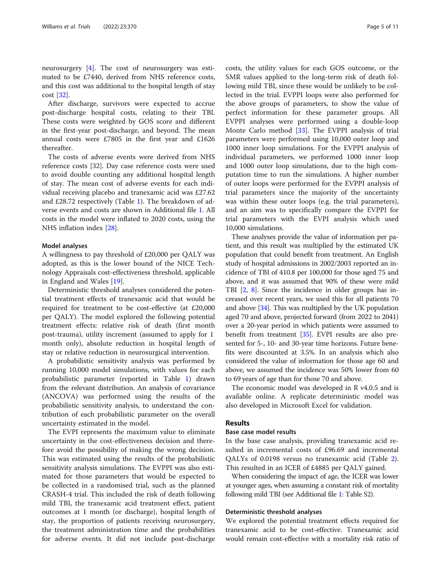neurosurgery [\[4](#page-9-0)]. The cost of neurosurgery was estimated to be £7440, derived from NHS reference costs, and this cost was additional to the hospital length of stay cost [\[32](#page-10-0)].

After discharge, survivors were expected to accrue post-discharge hospital costs, relating to their TBI. These costs were weighted by GOS score and different in the first-year post-discharge, and beyond. The mean annual costs were £7805 in the first year and £1626 thereafter.

The costs of adverse events were derived from NHS reference costs [32]. Day case reference costs were used to avoid double counting any additional hospital length of stay. The mean cost of adverse events for each individual receiving placebo and tranexamic acid was £27.62 and £28.72 respectively (Table [1\)](#page-3-0). The breakdown of adverse events and costs are shown in Additional file [1](#page-8-0). All costs in the model were inflated to 2020 costs, using the NHS inflation index [\[28\]](#page-9-0).

# Model analyses

A willingness to pay threshold of £20,000 per QALY was adopted, as this is the lower bound of the NICE Technology Appraisals cost-effectiveness threshold, applicable in England and Wales [[19\]](#page-9-0).

Deterministic threshold analyses considered the potential treatment effects of tranexamic acid that would be required for treatment to be cost-effective (at £20,000 per QALY). The model explored the following potential treatment effects: relative risk of death (first month post-trauma), utility increment (assumed to apply for 1 month only), absolute reduction in hospital length of stay or relative reduction in neurosurgical intervention.

A probabilistic sensitivity analysis was performed by running 10,000 model simulations, with values for each probabilistic parameter (reported in Table [1](#page-3-0)) drawn from the relevant distribution. An analysis of covariance (ANCOVA) was performed using the results of the probabilistic sensitivity analysis, to understand the contribution of each probabilistic parameter on the overall uncertainty estimated in the model.

The EVPI represents the maximum value to eliminate uncertainty in the cost-effectiveness decision and therefore avoid the possibility of making the wrong decision. This was estimated using the results of the probabilistic sensitivity analysis simulations. The EVPPI was also estimated for those parameters that would be expected to be collected in a randomised trial, such as the planned CRASH-4 trial. This included the risk of death following mild TBI, the tranexamic acid treatment effect, patient outcomes at 1 month (or discharge), hospital length of stay, the proportion of patients receiving neurosurgery, the treatment administration time and the probabilities for adverse events. It did not include post-discharge costs, the utility values for each GOS outcome, or the SMR values applied to the long-term risk of death following mild TBI, since these would be unlikely to be collected in the trial. EVPPI loops were also performed for the above groups of parameters, to show the value of perfect information for these parameter groups. All EVPPI analyses were performed using a double-loop Monte Carlo method [\[33](#page-10-0)]. The EVPPI analysis of trial parameters were performed using 10,000 outer loop and 1000 inner loop simulations. For the EVPPI analysis of individual parameters, we performed 1000 inner loop and 1000 outer loop simulations, due to the high computation time to run the simulations. A higher number of outer loops were performed for the EVPPI analysis of trial parameters since the majority of the uncertainty was within these outer loops (e.g. the trial parameters), and an aim was to specifically compare the EVPPI for trial parameters with the EVPI analysis which used 10,000 simulations.

These analyses provide the value of information per patient, and this result was multiplied by the estimated UK population that could benefit from treatment. An English study of hospital admissions in 2002/2003 reported an incidence of TBI of 410.8 per 100,000 for those aged 75 and above, and it was assumed that 90% of these were mild TBI [[2,](#page-9-0) [8](#page-9-0)]. Since the incidence in older groups has increased over recent years, we used this for all patients 70 and above [\[34](#page-10-0)]. This was multiplied by the UK population aged 70 and above, projected forward (from 2022 to 2041) over a 20-year period in which patients were assumed to benefit from treatment [\[35\]](#page-10-0). EVPI results are also presented for 5-, 10- and 30-year time horizons. Future benefits were discounted at 3.5%. In an analysis which also considered the value of information for those age 60 and above, we assumed the incidence was 50% lower from 60 to 69 years of age than for those 70 and above.

The economic model was developed in R v4.0.5 and is available online. A replicate deterministic model was also developed in Microsoft Excel for validation.

# Results

# Base case model results

In the base case analysis, providing tranexamic acid resulted in incremental costs of £96.69 and incremental QALYs of 0.0198 versus no tranexamic acid (Table [2](#page-5-0)). This resulted in an ICER of £4885 per QALY gained.

When considering the impact of age, the ICER was lower at younger ages, when assuming a constant risk of mortality following mild TBI (see Additional file [1](#page-8-0): Table S2).

# Deterministic threshold analyses

We explored the potential treatment effects required for tranexamic acid to be cost-effective. Tranexamic acid would remain cost-effective with a mortality risk ratio of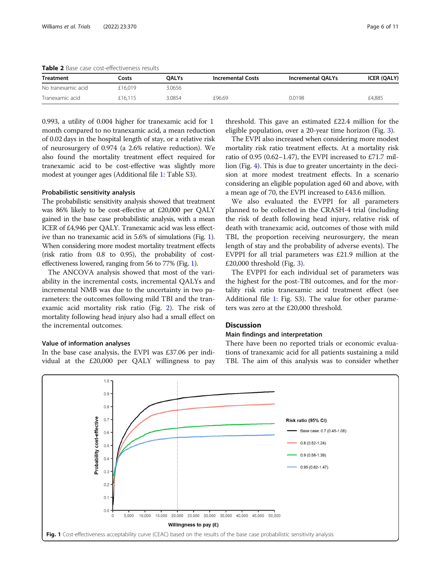<span id="page-5-0"></span>Table 2 Base case cost-effectiveness results

| <b>Treatment</b>   | <b>OALYs</b><br>Costs |        | <b>Incremental Costs</b> | <b>Incremental QALYs</b> | <b>ICER (QALY)</b> |  |  |
|--------------------|-----------------------|--------|--------------------------|--------------------------|--------------------|--|--|
| No tranexamic acid | £16.019               | 3.0656 |                          |                          |                    |  |  |
| Tranexamic acid    | £16.115               | 3.0854 | £96.69                   | 0.0198                   | £4,885             |  |  |

0.993, a utility of 0.004 higher for tranexamic acid for 1 month compared to no tranexamic acid, a mean reduction of 0.02 days in the hospital length of stay, or a relative risk of neurosurgery of 0.974 (a 2.6% relative reduction). We also found the mortality treatment effect required for tranexamic acid to be cost-effective was slightly more modest at younger ages (Additional file [1:](#page-8-0) Table S3).

# Probabilistic sensitivity analysis

The probabilistic sensitivity analysis showed that treatment was 86% likely to be cost-effective at £20,000 per QALY gained in the base case probabilistic analysis, with a mean ICER of £4,946 per QALY. Tranexamic acid was less effective than no tranexamic acid in 5.6% of simulations (Fig. 1). When considering more modest mortality treatment effects (risk ratio from 0.8 to 0.95), the probability of costeffectiveness lowered, ranging from 56 to 77% (Fig. 1).

The ANCOVA analysis showed that most of the variability in the incremental costs, incremental QALYs and incremental NMB was due to the uncertainty in two parameters: the outcomes following mild TBI and the tranexamic acid mortality risk ratio (Fig. [2](#page-6-0)). The risk of mortality following head injury also had a small effect on the incremental outcomes.

# Value of information analyses

In the base case analysis, the EVPI was £37.06 per individual at the £20,000 per QALY willingness to pay threshold. This gave an estimated £22.4 million for the eligible population, over a 20-year time horizon (Fig. [3](#page-6-0)).

The EVPI also increased when considering more modest mortality risk ratio treatment effects. At a mortality risk ratio of 0.95 (0.62–1.47), the EVPI increased to £71.7 million (Fig. [4\)](#page-7-0). This is due to greater uncertainty in the decision at more modest treatment effects. In a scenario considering an eligible population aged 60 and above, with a mean age of 70, the EVPI increased to £43.6 million.

We also evaluated the EVPPI for all parameters planned to be collected in the CRASH-4 trial (including the risk of death following head injury, relative risk of death with tranexamic acid, outcomes of those with mild TBI, the proportion receiving neurosurgery, the mean length of stay and the probability of adverse events). The EVPPI for all trial parameters was £21.9 million at the £20,000 threshold (Fig. [3](#page-6-0)).

The EVPPI for each individual set of parameters was the highest for the post-TBI outcomes, and for the mortality risk ratio tranexamic acid treatment effect (see Additional file [1](#page-8-0): Fig. S3). The value for other parameters was zero at the £20,000 threshold.

# **Discussion**

# Main findings and interpretation

There have been no reported trials or economic evaluations of tranexamic acid for all patients sustaining a mild TBI. The aim of this analysis was to consider whether

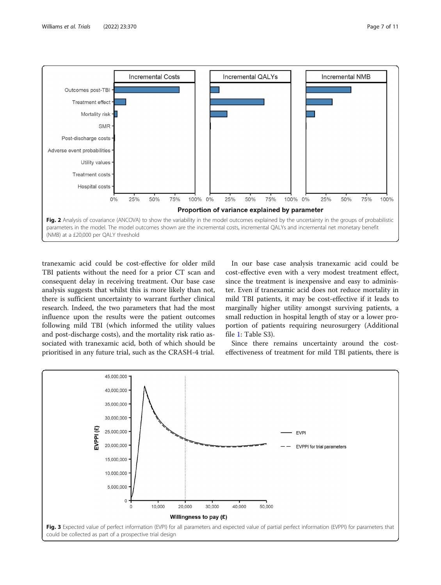<span id="page-6-0"></span>

tranexamic acid could be cost-effective for older mild TBI patients without the need for a prior CT scan and consequent delay in receiving treatment. Our base case analysis suggests that whilst this is more likely than not, there is sufficient uncertainty to warrant further clinical research. Indeed, the two parameters that had the most influence upon the results were the patient outcomes following mild TBI (which informed the utility values and post-discharge costs), and the mortality risk ratio associated with tranexamic acid, both of which should be prioritised in any future trial, such as the CRASH-4 trial.

In our base case analysis tranexamic acid could be cost-effective even with a very modest treatment effect, since the treatment is inexpensive and easy to administer. Even if tranexamic acid does not reduce mortality in mild TBI patients, it may be cost-effective if it leads to marginally higher utility amongst surviving patients, a small reduction in hospital length of stay or a lower proportion of patients requiring neurosurgery (Additional file [1:](#page-8-0) Table S3).

Since there remains uncertainty around the costeffectiveness of treatment for mild TBI patients, there is

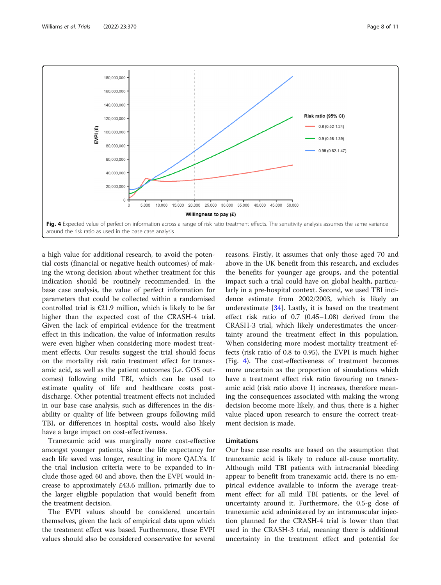<span id="page-7-0"></span>

a high value for additional research, to avoid the potential costs (financial or negative health outcomes) of making the wrong decision about whether treatment for this indication should be routinely recommended. In the base case analysis, the value of perfect information for parameters that could be collected within a randomised controlled trial is £21.9 million, which is likely to be far higher than the expected cost of the CRASH-4 trial. Given the lack of empirical evidence for the treatment effect in this indication, the value of information results were even higher when considering more modest treatment effects. Our results suggest the trial should focus on the mortality risk ratio treatment effect for tranexamic acid, as well as the patient outcomes (i.e. GOS outcomes) following mild TBI, which can be used to estimate quality of life and healthcare costs postdischarge. Other potential treatment effects not included in our base case analysis, such as differences in the disability or quality of life between groups following mild TBI, or differences in hospital costs, would also likely have a large impact on cost-effectiveness.

Tranexamic acid was marginally more cost-effective amongst younger patients, since the life expectancy for each life saved was longer, resulting in more QALYs. If the trial inclusion criteria were to be expanded to include those aged 60 and above, then the EVPI would increase to approximately £43.6 million, primarily due to the larger eligible population that would benefit from the treatment decision.

The EVPI values should be considered uncertain themselves, given the lack of empirical data upon which the treatment effect was based. Furthermore, these EVPI values should also be considered conservative for several

reasons. Firstly, it assumes that only those aged 70 and above in the UK benefit from this research, and excludes the benefits for younger age groups, and the potential impact such a trial could have on global health, particularly in a pre-hospital context. Second, we used TBI incidence estimate from 2002/2003, which is likely an underestimate [\[34\]](#page-10-0). Lastly, it is based on the treatment effect risk ratio of 0.7 (0.45–1.08) derived from the CRASH-3 trial, which likely underestimates the uncertainty around the treatment effect in this population. When considering more modest mortality treatment effects (risk ratio of 0.8 to 0.95), the EVPI is much higher (Fig. 4). The cost-effectiveness of treatment becomes more uncertain as the proportion of simulations which have a treatment effect risk ratio favouring no tranexamic acid (risk ratio above 1) increases, therefore meaning the consequences associated with making the wrong decision become more likely, and thus, there is a higher value placed upon research to ensure the correct treatment decision is made.

# Limitations

Our base case results are based on the assumption that tranexamic acid is likely to reduce all-cause mortality. Although mild TBI patients with intracranial bleeding appear to benefit from tranexamic acid, there is no empirical evidence available to inform the average treatment effect for all mild TBI patients, or the level of uncertainty around it. Furthermore, the 0.5-g dose of tranexamic acid administered by an intramuscular injection planned for the CRASH-4 trial is lower than that used in the CRASH-3 trial, meaning there is additional uncertainty in the treatment effect and potential for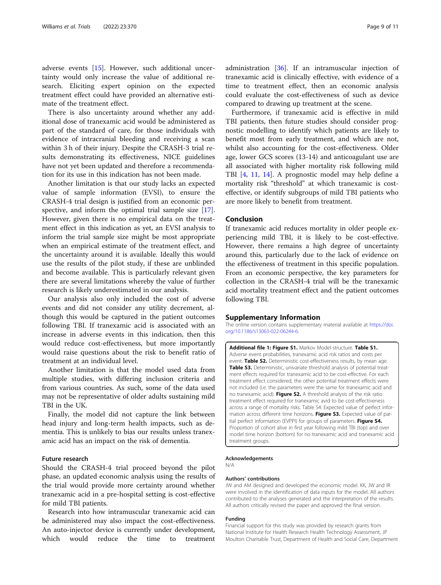<span id="page-8-0"></span>adverse events [\[15](#page-9-0)]. However, such additional uncertainty would only increase the value of additional research. Eliciting expert opinion on the expected treatment effect could have provided an alternative estimate of the treatment effect.

There is also uncertainty around whether any additional dose of tranexamic acid would be administered as part of the standard of care, for those individuals with evidence of intracranial bleeding and receiving a scan within 3 h of their injury. Despite the CRASH-3 trial results demonstrating its effectiveness, NICE guidelines have not yet been updated and therefore a recommendation for its use in this indication has not been made.

Another limitation is that our study lacks an expected value of sample information (EVSI), to ensure the CRASH-4 trial design is justified from an economic per-spective, and inform the optimal trial sample size [\[17](#page-9-0)]. However, given there is no empirical data on the treatment effect in this indication as yet, an EVSI analysis to inform the trial sample size might be most appropriate when an empirical estimate of the treatment effect, and the uncertainty around it is available. Ideally this would use the results of the pilot study, if these are unblinded and become available. This is particularly relevant given there are several limitations whereby the value of further research is likely underestimated in our analysis.

Our analysis also only included the cost of adverse events and did not consider any utility decrement, although this would be captured in the patient outcomes following TBI. If tranexamic acid is associated with an increase in adverse events in this indication, then this would reduce cost-effectiveness, but more importantly would raise questions about the risk to benefit ratio of treatment at an individual level.

Another limitation is that the model used data from multiple studies, with differing inclusion criteria and from various countries. As such, some of the data used may not be representative of older adults sustaining mild TBI in the UK.

Finally, the model did not capture the link between head injury and long-term health impacts, such as dementia. This is unlikely to bias our results unless tranexamic acid has an impact on the risk of dementia.

# Future research

Should the CRASH-4 trial proceed beyond the pilot phase, an updated economic analysis using the results of the trial would provide more certainty around whether tranexamic acid in a pre-hospital setting is cost-effective for mild TBI patients.

Research into how intramuscular tranexamic acid can be administered may also impact the cost-effectiveness. An auto-injector device is currently under development, which would reduce the time to treatment administration [\[36\]](#page-10-0). If an intramuscular injection of tranexamic acid is clinically effective, with evidence of a time to treatment effect, then an economic analysis could evaluate the cost-effectiveness of such as device compared to drawing up treatment at the scene.

Furthermore, if tranexamic acid is effective in mild TBI patients, then future studies should consider prognostic modelling to identify which patients are likely to benefit most from early treatment, and which are not, whilst also accounting for the cost-effectiveness. Older age, lower GCS scores (13-14) and anticoagulant use are all associated with higher mortality risk following mild TBI [[4,](#page-9-0) [11,](#page-9-0) [14\]](#page-9-0). A prognostic model may help define a mortality risk "threshold" at which tranexamic is costeffective, or identify subgroups of mild TBI patients who are more likely to benefit from treatment.

# Conclusion

If tranexamic acid reduces mortality in older people experiencing mild TBI, it is likely to be cost-effective. However, there remains a high degree of uncertainty around this, particularly due to the lack of evidence on the effectiveness of treatment in this specific population. From an economic perspective, the key parameters for collection in the CRASH-4 trial will be the tranexamic acid mortality treatment effect and the patient outcomes following TBI.

# Supplementary Information

The online version contains supplementary material available at [https://doi.](https://doi.org/10.1186/s13063-022-06244-6) [org/10.1186/s13063-022-06244-6.](https://doi.org/10.1186/s13063-022-06244-6)

Additional file 1: Figure S1. Markov Model structure. Table S1. Adverse event probabilities, tranexamic acid risk ratios and costs per event. Table S2. Deterministic cost-effectiveness results, by mean age. Table S3. Deterministic, univariate threshold analysis of potential treatment effects required for tranexamic acid to be cost-effective. For each treatment effect considered, the other potential treatment effects were not included (i.e. the parameters were the same for tranexamic acid and no tranexamic acid). Figure S2. A threshold analysis of the risk ratio treatment effect required for tranexamic avid to be cost-effectiveness across a range of mortality risks. Table S4: Expected value of perfect information across different time horizons. Figure S3. Expected value of partial perfect information (EVPPI) for groups of parameters. Figure S4. Proportion of cohort alive in first year following mild TBI (top) and over model time horizon (bottom) for no tranexamic acid and tranexamic acid treatment groups.

#### Acknowledgements

N/A

#### Authors' contributions

JW and AM designed and developed the economic model. KK, JW and IR were involved in the identification of data inputs for the model. All authors contributed to the analyses generated and the interpretation of the results. All authors critically revised the paper and approved the final version.

#### Funding

Financial support for this study was provided by research grants from National Institute for Health Research Health Technology Assessment, JP Moulton Charitable Trust, Department of Health and Social Care, Department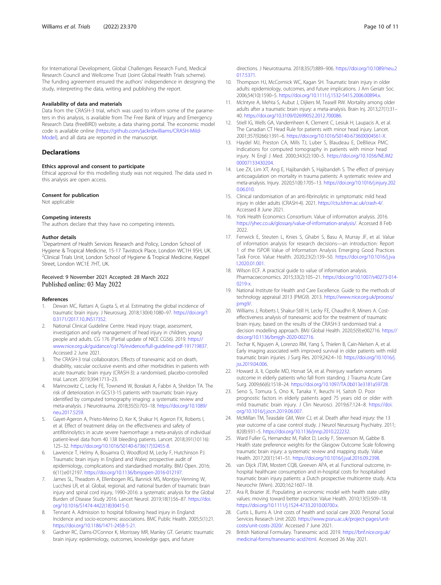<span id="page-9-0"></span>for International Development, Global Challenges Research Fund, Medical Research Council and Wellcome Trust (Joint Global Health Trials scheme). The funding agreement ensured the authors' independence in designing the study, interpreting the data, writing and publishing the report.

#### Availability of data and materials

Data from the CRASH-3 trial, which was used to inform some of the parameters in this analysis, is available from The Free Bank of Injury and Emergency Research Data (freeBIRD) website, a data sharing portal. The economic model code is available online [\(https://github.com/jackrdwilliams/CRASH-Mild-](https://github.com/jackrdwilliams/CRASH-Mild-Model)[Model\)](https://github.com/jackrdwilliams/CRASH-Mild-Model), and all data are reported in the manuscript.

# **Declarations**

# Ethics approval and consent to participate

Ethical approval for this modelling study was not required. The data used in this analysis are open access.

#### Consent for publication

Not applicable

#### Competing interests

The authors declare that they have no competing interests.

#### Author details

<sup>1</sup>Department of Health Services Research and Policy, London School of Hygiene & Tropical Medicine, 15-17 Tavistock Place, London WC1H 9SH, UK. <sup>2</sup>Clinical Trials Unit, London School of Hygiene & Tropical Medicine, Keppel Street, London WC1E 7HT, UK.

# Received: 9 November 2021 Accepted: 28 March 2022 Published online: 03 May 2022

#### References

- 1. Dewan MC, Rattani A, Gupta S, et al. Estimating the global incidence of traumatic brain injury. J Neurosurg. 2018;130(4):1080–97. [https://doi.org/1](https://doi.org/10.3171/2017.10.JNS17352) [0.3171/2017.10.JNS17352.](https://doi.org/10.3171/2017.10.JNS17352)
- 2. National Clinical Guideline Centre. Head injury: triage, assessment, investigation and early management of head injury in children, young people and adults. CG 176 (Partial update of NICE CG56). 2019. [https://](https://www.nice.org.uk/guidance/cg176/evidence/full-guideline-pdf-191719837) [www.nice.org.uk/guidance/cg176/evidence/full-guideline-pdf-191719837](https://www.nice.org.uk/guidance/cg176/evidence/full-guideline-pdf-191719837). Accessed 2 June 2021.
- 3. The CRASH-3 trial collaborators. Effects of tranexamic acid on death, disability, vascular occlusive events and other morbidities in patients with acute traumatic brain injury (CRASH-3): a randomised, placebo-controlled trial. Lancet. 2019;394:1713–23.
- Marincowitz C, Lecky FE, Townend W, Borakati A, Fabbri A, Sheldon TA. The risk of deterioration in GCS13-15 patients with traumatic brain injury identified by computed tomography imaging: a systematic review and meta-analysis. J Neurotrauma. 2018;35(5):703–18. [https://doi.org/10.1089/](https://doi.org/10.1089/neu.2017.5259) [neu.2017.5259](https://doi.org/10.1089/neu.2017.5259).
- Gayet-Ageron A, Prieto-Merino D, Ker K, Shakur H, Ageron FX, Roberts I, et al. Effect of treatment delay on the effectiveness and safety of antifibrinolytics in acute severe haemorrhage: a meta-analysis of individual patient-level data from 40 138 bleeding patients. Lancet. 2018;391(10116): 125–32. [https://doi.org/10.1016/S0140-6736\(17\)32455-8.](https://doi.org/10.1016/S0140-6736(17)32455-8)
- Lawrence T, Helmy A, Bouamra O, Woodford M, Lecky F, Hutchinson PJ. Traumatic brain injury in England and Wales: prospective audit of epidemiology, complications and standardised mortality. BMJ Open. 2016; 6(11):e012197. <https://doi.org/10.1136/bmjopen-2016-012197>.
- James SL, Theadom A, Ellenbogen RG, Bannick MS, Montjoy-Venning W, Lucchesi LR, et al. Global, regional, and national burden of traumatic brain injury and spinal cord injury, 1990–2016: a systematic analysis for the Global Burden of Disease Study 2016. Lancet Neurol. 2019;18(1):56–87. [https://doi.](https://doi.org/10.1016/S1474-4422(18)30415-0) [org/10.1016/S1474-4422\(18\)30415-0.](https://doi.org/10.1016/S1474-4422(18)30415-0)
- Tennant A. Admission to hospital following head injury in England: Incidence and socio-economic associations. BMC Public Health. 2005;5(1):21. [https://doi.org/10.1186/1471-2458-5-21.](https://doi.org/10.1186/1471-2458-5-21)
- 9. Gardner RC, Dams-O'Connor K, Morrissey MR, Manley GT. Geriatric traumatic brain injury: epidemiology, outcomes, knowledge gaps, and future

directions. J Neurotrauma. 2018;35(7):889–906. [https://doi.org/10.1089/neu.2](https://doi.org/10.1089/neu.2017.5371) [017.5371.](https://doi.org/10.1089/neu.2017.5371)

- 10. Thompson HJ, McCormick WC, Kagan SH. Traumatic brain injury in older adults: epidemiology, outcomes, and future implications. J Am Geriatr Soc. 2006;54(10):1590–5. [https://doi.org/10.1111/j.1532-5415.2006.00894.x.](https://doi.org/10.1111/j.1532-5415.2006.00894.x)
- 11. McIntyre A, Mehta S, Aubut J, Dijkers M, Teasell RW. Mortality among older adults after a traumatic brain injury: a meta-analysis. Brain Inj. 2013;27(1):31– 40. [https://doi.org/10.3109/02699052.2012.700086.](https://doi.org/10.3109/02699052.2012.700086)
- 12. Stiell IG, Wells GA, Vandemheen K, Clement C, Lesiuk H, Laupacis A, et al. The Canadian CT Head Rule for patients with minor head injury. Lancet. 2001;357(9266):1391–6. [https://doi.org/10.1016/S0140-6736\(00\)04561-X.](https://doi.org/10.1016/S0140-6736(00)04561-X)
- 13. Haydel MJ, Preston CA, Mills TJ, Luber S, Blaudeau E, DeBlieux PMC. Indications for computed tomography in patients with minor head injury. N Engl J Med. 2000;343(2):100–5. [https://doi.org/10.1056/NEJM2](https://doi.org/10.1056/NEJM200007133430204) [00007133430204.](https://doi.org/10.1056/NEJM200007133430204)
- 14. Lee ZX, Lim XT, Ang E, Hajibandeh S, Hajibandeh S. The effect of preinjury anticoagulation on mortality in trauma patients: A systematic review and meta-analysis. Injury. 2020;51(8):1705–13. [https://doi.org/10.1016/j.injury.202](https://doi.org/10.1016/j.injury.2020.06.010) [0.06.010.](https://doi.org/10.1016/j.injury.2020.06.010)
- 15. Clinical randomisation of an anti-fibrinolytic in symptomatic mild head injury in older adults (CRASH-4). 2021. [https://ctu.lshtm.ac.uk/crash-4/.](https://ctu.lshtm.ac.uk/crash-4/) Accessed 8 June 2021.
- 16. York Health Economics Consortium. Value of information analysis. 2016. <https://yhec.co.uk/glossary/value-of-information-analysis/>. Accessed 8 Feb 2022.
- 17. Fenwick E, Steuten L, Knies S, Ghabri S, Basu A, Murray JF, et al. Value of information analysis for research decisions—an introduction: Report 1 of the ISPOR Value of Information Analysis Emerging Good Practices Task Force. Value Health. 2020;23(2):139–50. [https://doi.org/10.1016/j.jva](https://doi.org/10.1016/j.jval.2020.01.001) [l.2020.01.001.](https://doi.org/10.1016/j.jval.2020.01.001)
- 18. Wilson ECF. A practical guide to value of information analysis. Pharmacoeconomics. 2015;33(2):105–21. [https://doi.org/10.1007/s40273-014-](https://doi.org/10.1007/s40273-014-0219-x) [0219-x.](https://doi.org/10.1007/s40273-014-0219-x)
- 19. National Institute for Health and Care Excellence. Guide to the methods of technology appraisal 2013 (PMG9). 2013. [https://www.nice.org.uk/process/](https://www.nice.org.uk/process/pmg9/) [pmg9/](https://www.nice.org.uk/process/pmg9/).
- 20. Williams J, Roberts I, Shakur-Still H, Lecky FE, Chaudhri R, Miners A. Costeffectiveness analysis of tranexamic acid for the treatment of traumatic brain injury, based on the results of the CRASH-3 randomised trial: a decision modelling approach. BMJ Global Health. 2020;5(9):e002716. [https://](https://doi.org/10.1136/bmjgh-2020-002716) [doi.org/10.1136/bmjgh-2020-002716](https://doi.org/10.1136/bmjgh-2020-002716).
- 21. Techar K, Nguyen A, Lorenzo RM, Yang S, Thielen B, Cain-Nielsen A, et al. Early imaging associated with improved survival in older patients with mild traumatic brain injuries. J Surg Res. 2019;242:4–10. [https://doi.org/10.1016/j.](https://doi.org/10.1016/j.jss.2019.04.006) [jss.2019.04.006.](https://doi.org/10.1016/j.jss.2019.04.006)
- 22. Howard JL II, Cipolle MD, Horvat SA, et al. Preinjury warfarin worsens outcome in elderly patients who fall from standing. J Trauma Acute Care Surg. 2009;66(6):1518–24. [https://doi.org/10.1097/TA.0b013e3181a59728.](https://doi.org/10.1097/TA.0b013e3181a59728)
- 23. Seno S, Tomura S, Ono K, Tanaka Y, Ikeuchi H, Saitoh D. Poor prognostic factors in elderly patients aged 75 years old or older with mild traumatic brain injury. J Clin Neurosci. 2019;67:124–8. [https://doi.](https://doi.org/10.1016/j.jocn.2019.06.007) [org/10.1016/j.jocn.2019.06.007.](https://doi.org/10.1016/j.jocn.2019.06.007)
- 24. McMillan TM, Teasdale GM, Weir CJ, et al. Death after head injury: the 13 year outcome of a case control study. J Neurol Neurosurg Psychiatry. 2011; 82(8):931–5. <https://doi.org/10.1136/jnnp.2010.222232>.
- 25. Ward Fuller G, Hernandez M, Pallot D, Lecky F, Stevenson M, Gabbe B. Health state preference weights for the Glasgow Outcome Scale following traumatic brain injury: a systematic review and mapping study. Value Health. 2017;20(1):141–51. <https://doi.org/10.1016/j.jval.2016.09.2398>.
- 26. van Dijck JTJM, Mostert CQB, Greeven APA, et al. Functional outcome, inhospital healthcare consumption and in-hospital costs for hospitalised traumatic brain injury patients: a Dutch prospective multicentre study. Acta Neurochir (Wien). 2020;162:1607–18.
- 27. Ara R, Brazier JE. Populating an economic model with health state utility values: moving toward better practice. Value Health. 2010;13(5):509–18. <https://doi.org/10.1111/j.1524-4733.2010.00700.x>.
- 28. Curtis L, Burns A. Unit costs of health and social care 2020. Personal Social Services Research Unit 2020. [https://www.pssru.ac.uk/project-pages/unit](https://www.pssru.ac.uk/project-pages/unit-costs/unit-costs-2020/)[costs/unit-costs-2020/](https://www.pssru.ac.uk/project-pages/unit-costs/unit-costs-2020/). Accessed 7 June 2021.
- 29. British National Formulary. Tranexamic acid. 2019. [https://bnf.nice.org.uk/](https://bnf.nice.org.uk/medicinal-forms/tranexamic-acid.html) [medicinal-forms/tranexamic-acid.html](https://bnf.nice.org.uk/medicinal-forms/tranexamic-acid.html). Accessed 26 May 2021.